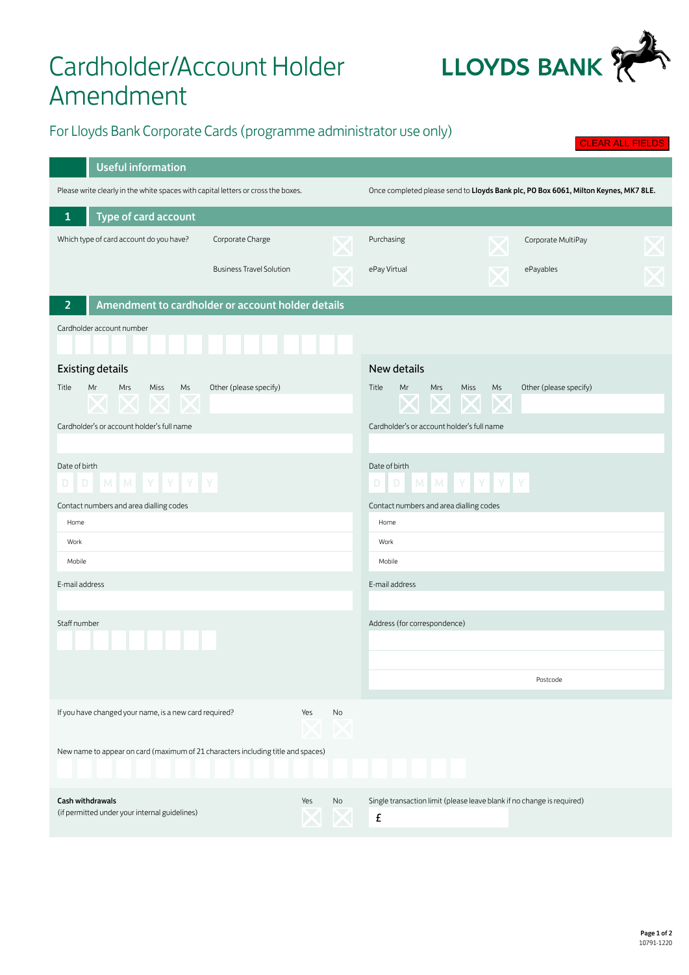## Cardholder/Account Holder Amendment



CLEAR ALL FIELDS

## For Lloyds Bank Corporate Cards (programme administrator use only)

| <b>Useful information</b>                                                         |                                                   |                                                                                     |                                                                             |  |  |  |  |  |  |  |
|-----------------------------------------------------------------------------------|---------------------------------------------------|-------------------------------------------------------------------------------------|-----------------------------------------------------------------------------|--|--|--|--|--|--|--|
| Please write clearly in the white spaces with capital letters or cross the boxes. |                                                   | Once completed please send to Lloyds Bank plc, PO Box 6061, Milton Keynes, MK7 8LE. |                                                                             |  |  |  |  |  |  |  |
| Type of card account<br>1                                                         |                                                   |                                                                                     |                                                                             |  |  |  |  |  |  |  |
| Which type of card account do you have?                                           | Corporate Charge                                  |                                                                                     | Purchasing<br>Corporate MultiPay                                            |  |  |  |  |  |  |  |
|                                                                                   |                                                   |                                                                                     |                                                                             |  |  |  |  |  |  |  |
|                                                                                   | <b>Business Travel Solution</b>                   |                                                                                     | ePay Virtual<br>ePayables                                                   |  |  |  |  |  |  |  |
| 2                                                                                 | Amendment to cardholder or account holder details |                                                                                     |                                                                             |  |  |  |  |  |  |  |
| Cardholder account number                                                         |                                                   |                                                                                     |                                                                             |  |  |  |  |  |  |  |
|                                                                                   |                                                   |                                                                                     |                                                                             |  |  |  |  |  |  |  |
| <b>Existing details</b>                                                           |                                                   |                                                                                     | <b>New details</b>                                                          |  |  |  |  |  |  |  |
| Title<br>Mr<br>Miss<br>Ms<br>Mrs                                                  | Other (please specify)                            |                                                                                     | Other (please specify)<br>Title<br>Mrs<br>Miss<br>Mr<br>Ms                  |  |  |  |  |  |  |  |
| $\mathbf{X} \boxtimes$<br>╱╲                                                      |                                                   |                                                                                     | $\bm{\mathsf{X}}$                                                           |  |  |  |  |  |  |  |
| Cardholder's or account holder's full name                                        |                                                   |                                                                                     | Cardholder's or account holder's full name                                  |  |  |  |  |  |  |  |
|                                                                                   |                                                   |                                                                                     |                                                                             |  |  |  |  |  |  |  |
| Date of birth                                                                     |                                                   |                                                                                     | Date of birth                                                               |  |  |  |  |  |  |  |
| MMYYYY                                                                            |                                                   |                                                                                     | MMYYYY<br>D<br>D                                                            |  |  |  |  |  |  |  |
| Contact numbers and area dialling codes                                           |                                                   |                                                                                     | Contact numbers and area dialling codes                                     |  |  |  |  |  |  |  |
| Home                                                                              |                                                   |                                                                                     | Home<br>Work                                                                |  |  |  |  |  |  |  |
| Work<br>Mobile                                                                    |                                                   |                                                                                     | Mobile                                                                      |  |  |  |  |  |  |  |
|                                                                                   |                                                   |                                                                                     |                                                                             |  |  |  |  |  |  |  |
| E-mail address                                                                    |                                                   |                                                                                     | E-mail address                                                              |  |  |  |  |  |  |  |
| Staff number                                                                      |                                                   |                                                                                     | Address (for correspondence)                                                |  |  |  |  |  |  |  |
|                                                                                   |                                                   |                                                                                     |                                                                             |  |  |  |  |  |  |  |
|                                                                                   |                                                   |                                                                                     |                                                                             |  |  |  |  |  |  |  |
|                                                                                   |                                                   |                                                                                     | Postcode                                                                    |  |  |  |  |  |  |  |
| If you have changed your name, is a new card required?                            | Yes                                               | No                                                                                  |                                                                             |  |  |  |  |  |  |  |
|                                                                                   |                                                   |                                                                                     |                                                                             |  |  |  |  |  |  |  |
| New name to appear on card (maximum of 21 characters including title and spaces)  |                                                   |                                                                                     |                                                                             |  |  |  |  |  |  |  |
|                                                                                   |                                                   |                                                                                     |                                                                             |  |  |  |  |  |  |  |
|                                                                                   |                                                   |                                                                                     |                                                                             |  |  |  |  |  |  |  |
| <b>Cash withdrawals</b><br>(if permitted under your internal guidelines)          | Yes                                               | No                                                                                  | Single transaction limit (please leave blank if no change is required)<br>£ |  |  |  |  |  |  |  |
|                                                                                   |                                                   |                                                                                     |                                                                             |  |  |  |  |  |  |  |